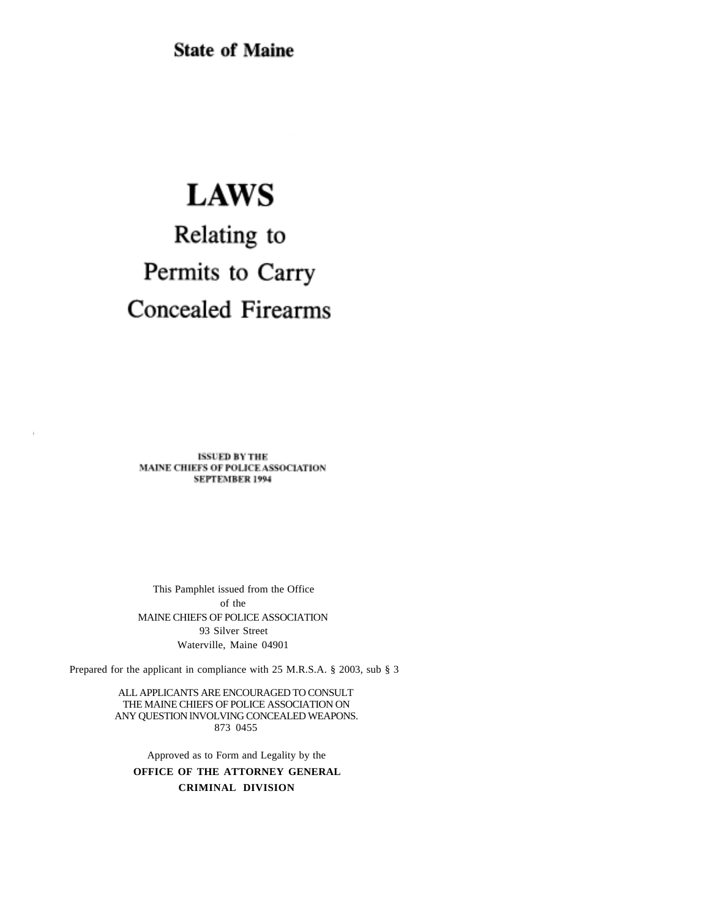**State of Maine** 

## **LAWS**

# Relating to Permits to Carry **Concealed Firearms**

**ISSUED BY THE** MAINE CHIEFS OF POLICE ASSOCIATION **SEPTEMBER 1994** 

This Pamphlet issued from the Office of the MAINE CHIEFS OF POLICE ASSOCIATION 93 Silver Street Waterville, Maine 04901

Prepared for the applicant in compliance with 25 M.R.S.A. § 2003, sub § 3

ALL APPLICANTS ARE ENCOURAGED TO CONSULT THE MAINE CHIEFS OF POLICE ASSOCIATION ON ANY QUESTION lNVOLVING CONCEALED WEAPONS. 873 0455

Approved as to Form and Legality by the **OFFICE OF THE ATTORNEY GENERAL CRIMINAL DIVISION**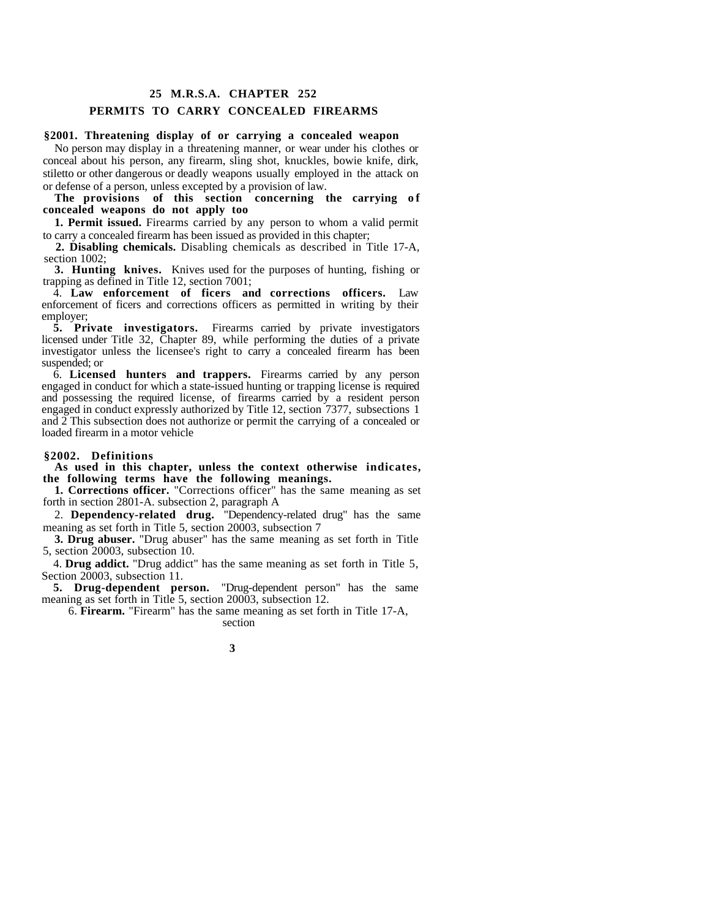### **25 M.R.S.A. CHAPTER 252 PERMITS TO CARRY CONCEALED FIREARMS**

#### **§2001. Threatening display of or carrying a concealed weapon**

No person may display in a threatening manner, or wear under his clothes or conceal about his person, any firearm, sling shot, knuckles, bowie knife, dirk, stiletto or other dangerous or deadly weapons usually employed in the attack on or defense of a person, unless excepted by a provision of law.

The provisions of this section concerning the carrying of **concealed weapons do not apply too**

**1. Permit issued.** Firearms carried by any person to whom a valid permit to carry a concealed firearm has been issued as provided in this chapter;

**2. Disabling chemicals.** Disabling chemicals as described in Title 17-A, section 1002;

**3. Hunting knives.** Knives used for the purposes of hunting, fishing or trapping as defined in Title 12, section 7001;

4. **Law enforcement of ficers and corrections officers.** Law enforcement of ficers and corrections officers as permitted in writing by their employer;

**5. Private investigators.** Firearms carried by private investigators licensed under Title 32, Chapter 89, while performing the duties of a private investigator unless the licensee's right to carry a concealed firearm has been suspended; or

6. **Licensed hunters and trappers.** Firearms carried by any person engaged in conduct for which a state-issued hunting or trapping license is required and possessing the required license, of firearms carried by a resident person engaged in conduct expressly authorized by Title 12, section 7377, subsections 1 and 2 This subsection does not authorize or permit the carrying of a concealed or loaded firearm in a motor vehicle

#### **§2002. Definitions**

**As used in this chapter, unless the context otherwise indicates, the following terms have the following meanings.**

**1. Corrections officer.** "Corrections officer" has the same meaning as set forth in section 2801-A. subsection 2, paragraph A

2. **Dependency-related drug.** "Dependency-related drug" has the same meaning as set forth in Title 5, section 20003, subsection 7

**3. Drug abuser.** "Drug abuser" has the same meaning as set forth in Title 5, section 20003, subsection 10.

4. **Drug addict.** "Drug addict" has the same meaning as set forth in Title 5, Section 20003, subsection 11.

**5. Drug-dependent person.** "Drug-dependent person" has the same meaning as set forth in Title 5, section 20003, subsection 12.

6. **Firearm.** "Firearm" has the same meaning as set forth in Title 17-A,

section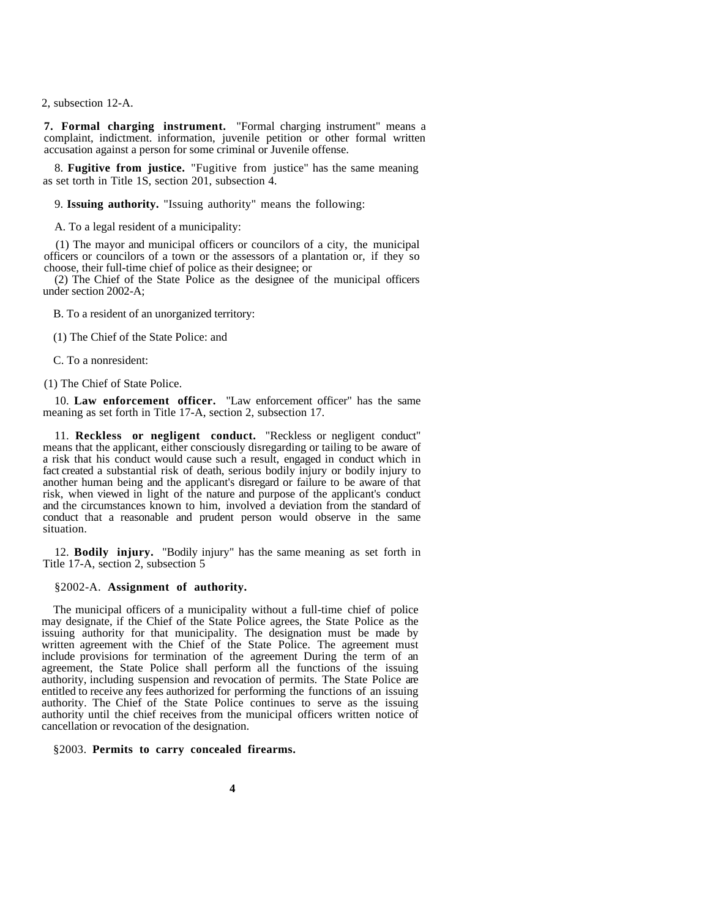2, subsection 12-A.

**7. Formal charging instrument.** "Formal charging instrument" means a complaint, indictment. information, juvenile petition or other formal written accusation against a person for some criminal or Juvenile offense.

8. **Fugitive from justice.** "Fugitive from justice" has the same meaning as set torth in Title 1S, section 201, subsection 4.

9. **Issuing authority.** "Issuing authority" means the following:

A. To a legal resident of a municipality:

(1) The mayor and municipal officers or councilors of a city, the municipal officers or councilors of a town or the assessors of a plantation or, if they so choose, their full-time chief of police as their designee; or

(2) The Chief of the State Police as the designee of the municipal officers under section 2002-A;

B. To a resident of an unorganized territory:

(1) The Chief of the State Police: and

C. To a nonresident:

(1) The Chief of State Police.

10. **Law enforcement officer.** "Law enforcement officer" has the same meaning as set forth in Title 17-A, section 2, subsection 17.

11. **Reckless or negligent conduct.** "Reckless or negligent conduct" means that the applicant, either consciously disregarding or tailing to be aware of a risk that his conduct would cause such a result, engaged in conduct which in fact created a substantial risk of death, serious bodily injury or bodily injury to another human being and the applicant's disregard or failure to be aware of that risk, when viewed in light of the nature and purpose of the applicant's conduct and the circumstances known to him, involved a deviation from the standard of conduct that a reasonable and prudent person would observe in the same situation.

12. **Bodily injury.** "Bodily injury" has the same meaning as set forth in Title 17-A, section 2, subsection 5

#### §2002-A. **Assignment of authority.**

The municipal officers of a municipality without a full-time chief of police may designate, if the Chief of the State Police agrees, the State Police as the issuing authority for that municipality. The designation must be made by written agreement with the Chief of the State Police. The agreement must include provisions for termination of the agreement During the term of an agreement, the State Police shall perform all the functions of the issuing authority, including suspension and revocation of permits. The State Police are entitled to receive any fees authorized for performing the functions of an issuing authority. The Chief of the State Police continues to serve as the issuing authority until the chief receives from the municipal officers written notice of cancellation or revocation of the designation.

§2003. **Permits to carry concealed firearms.**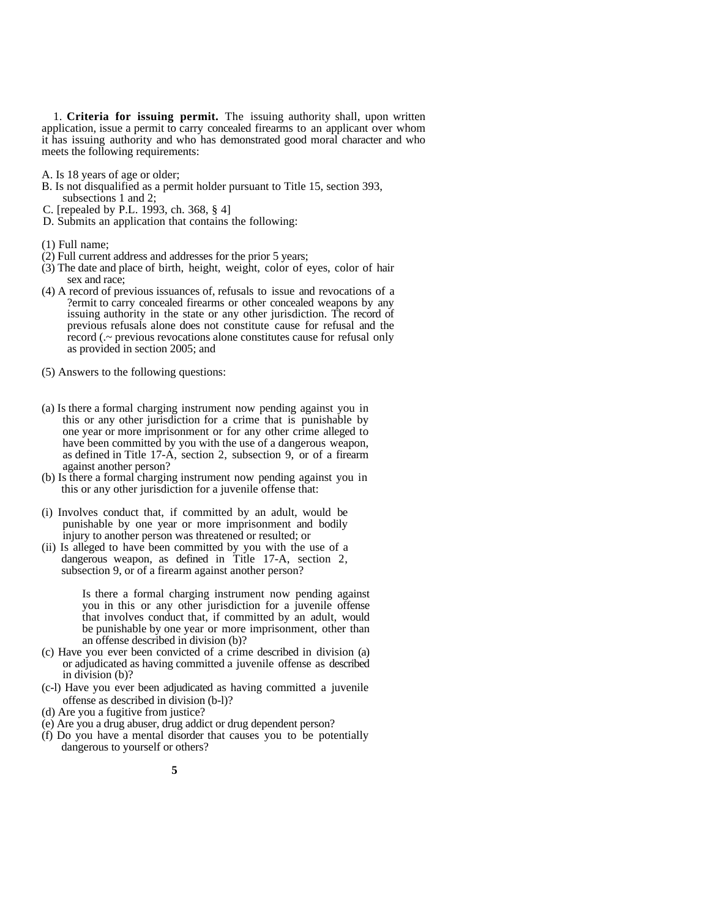1. **Criteria for issuing permit.** The issuing authority shall, upon written application, issue a permit to carry concealed firearms to an applicant over whom it has issuing authority and who has demonstrated good moral character and who meets the following requirements:

- A. Is 18 years of age or older;
- B. Is not disqualified as a permit holder pursuant to Title 15, section 393, subsections 1 and 2;
- C. [repealed by P.L. 1993, ch. 368, § 4]
- D. Submits an application that contains the following:
- (1) Full name;
- (2) Full current address and addresses for the prior 5 years;
- (3) The date and place of birth, height, weight, color of eyes, color of hair sex and race;
- (4) A record of previous issuances of, refusals to issue and revocations of a ?ermit to carry concealed firearms or other concealed weapons by any issuing authority in the state or any other jurisdiction. The record of previous refusals alone does not constitute cause for refusal and the record (.~ previous revocations alone constitutes cause for refusal only as provided in section 2005; and
- (5) Answers to the following questions:
- (a) Is there a formal charging instrument now pending against you in this or any other jurisdiction for a crime that is punishable by one year or more imprisonment or for any other crime alleged to have been committed by you with the use of a dangerous weapon, as defined in Title 17-A, section 2, subsection 9, or of a firearm against another person?
- (b) Is there a formal charging instrument now pending against you in this or any other jurisdiction for a juvenile offense that:
- (i) Involves conduct that, if committed by an adult, would be punishable by one year or more imprisonment and bodily injury to another person was threatened or resulted; or
- (ii) Is alleged to have been committed by you with the use of a dangerous weapon, as defined in Title 17-A, section 2, subsection 9, or of a firearm against another person?

Is there a formal charging instrument now pending against you in this or any other jurisdiction for a juvenile offense that involves conduct that, if committed by an adult, would be punishable by one year or more imprisonment, other than an offense described in division (b)?

- (c) Have you ever been convicted of a crime described in division (a) or adjudicated as having committed a juvenile offense as described in division (b)?
- (c-l) Have you ever been adjudicated as having committed a juvenile offense as described in division (b-l)?
- (d) Are you a fugitive from justice?
- (e) Are you a drug abuser, drug addict or drug dependent person?
- (f) Do you have a mental disorder that causes you to be potentially dangerous to yourself or others?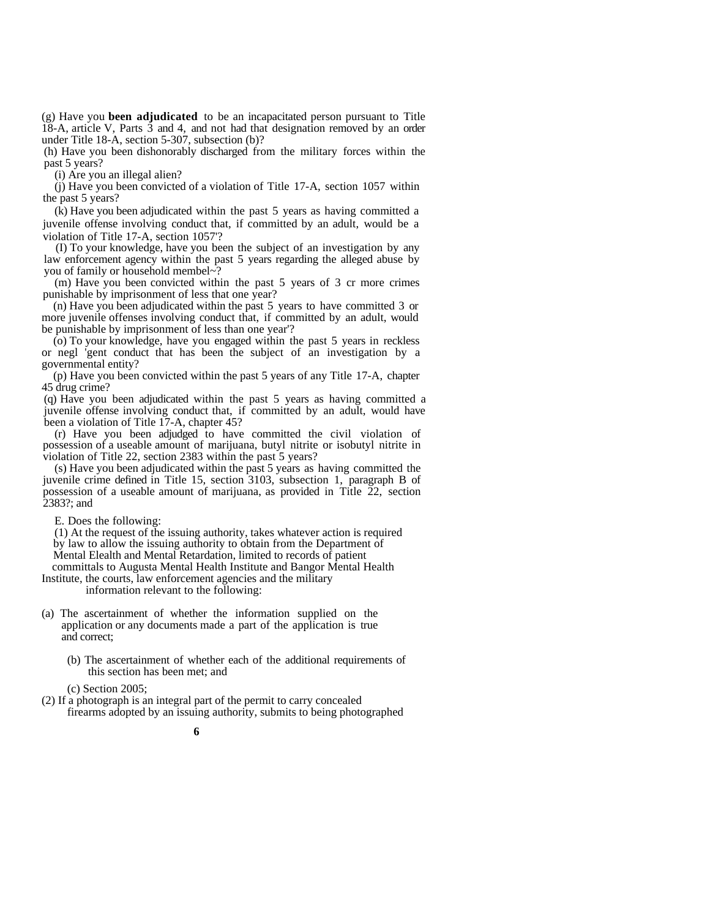(g) Have you **been adjudicated** to be an incapacitated person pursuant to Title 18-A, article V, Parts 3 and 4, and not had that designation removed by an order under Title 18-A, section 5-307, subsection (b)?

(h) Have you been dishonorably discharged from the military forces within the past 5 years?

(i) Are you an illegal alien?

(j) Have you been convicted of a violation of Title 17-A, section 1057 within the past 5 years?

(k) Have you been adjudicated within the past 5 years as having committed a juvenile offense involving conduct that, if committed by an adult, would be a violation of Title 17-A, section 1057'?

(I) To your knowledge, have you been the subject of an investigation by any law enforcement agency within the past 5 years regarding the alleged abuse by you of family or household membel~?

(m) Have you been convicted within the past 5 years of 3 cr more crimes punishable by imprisonment of less that one year?

(n) Have you been adjudicated within the past 5 years to have committed 3 or more juvenile offenses involving conduct that, if committed by an adult, would be punishable by imprisonment of less than one year'?

(o) To your knowledge, have you engaged within the past 5 years in reckless or negl 'gent conduct that has been the subject of an investigation by a governmental entity?

(p) Have you been convicted within the past 5 years of any Title 17-A, chapter 45 drug crime?

(q) Have you been adjudicated within the past 5 years as having committed a juvenile offense involving conduct that, if committed by an adult, would have been a violation of Title 17-A, chapter 45?

(r) Have you been adjudged to have committed the civil violation of possession of a useable amount of marijuana, butyl nitrite or isobutyl nitrite in violation of Title 22, section 2383 within the past 5 years?

(s) Have you been adjudicated within the past 5 years as having committed the juvenile crime defined in Title 15, section 3103, subsection 1, paragraph B of possession of a useable amount of marijuana, as provided in Title 22, section 2383?; and

E. Does the following:

(1) At the request of the issuing authority, takes whatever action is required by law to allow the issuing authority to obtain from the Department of

Mental Elealth and Mental Retardation, limited to records of patient

committals to Augusta Mental Health Institute and Bangor Mental Health

Institute, the courts, law enforcement agencies and the military

information relevant to the following:

- (a) The ascertainment of whether the information supplied on the application or any documents made a part of the application is true and correct;
	- (b) The ascertainment of whether each of the additional requirements of this section has been met; and

(c) Section 2005;

(2) If a photograph is an integral part of the permit to carry concealed firearms adopted by an issuing authority, submits to being photographed

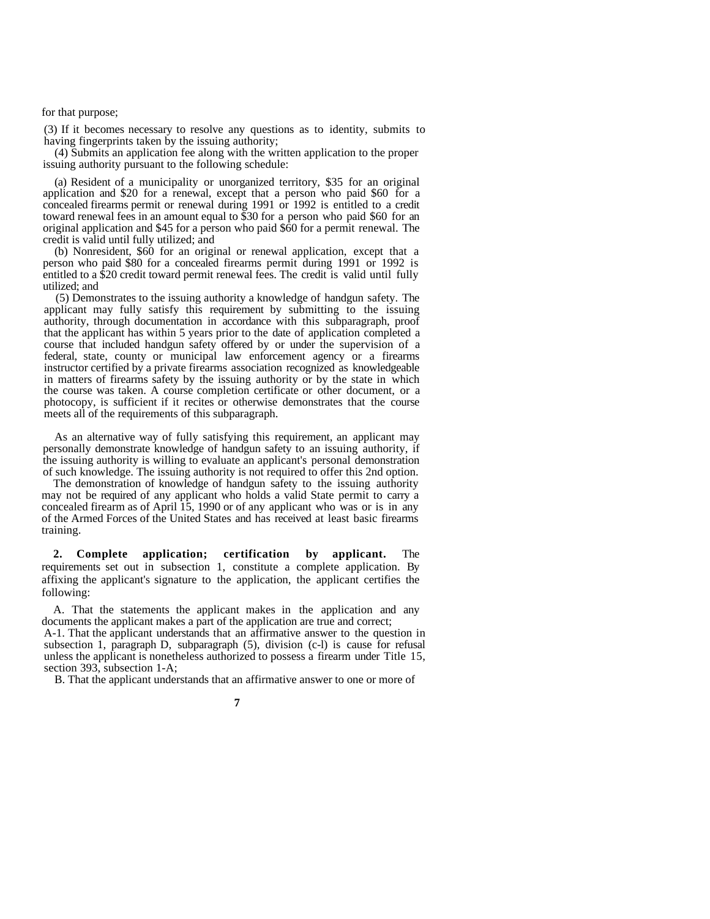for that purpose;

(3) If it becomes necessary to resolve any questions as to identity, submits to having fingerprints taken by the issuing authority;

(4) Submits an application fee along with the written application to the proper issuing authority pursuant to the following schedule:

(a) Resident of a municipality or unorganized territory, \$35 for an original application and \$20 for a renewal, except that a person who paid \$60 for a concealed firearms permit or renewal during 1991 or 1992 is entitled to a credit toward renewal fees in an amount equal to \$30 for a person who paid \$60 for an original application and \$45 for a person who paid \$60 for a permit renewal. The credit is valid until fully utilized; and

(b) Nonresident, \$60 for an original or renewal application, except that a person who paid \$80 for a concealed firearms permit during 1991 or 1992 is entitled to a \$20 credit toward permit renewal fees. The credit is valid until fully utilized; and

(5) Demonstrates to the issuing authority a knowledge of handgun safety. The applicant may fully satisfy this requirement by submitting to the issuing authority, through documentation in accordance with this subparagraph, proof that the applicant has within 5 years prior to the date of application completed a course that included handgun safety offered by or under the supervision of a federal, state, county or municipal law enforcement agency or a firearms instructor certified by a private firearms association recognized as knowledgeable in matters of firearms safety by the issuing authority or by the state in which the course was taken. A course completion certificate or other document, or a photocopy, is sufficient if it recites or otherwise demonstrates that the course meets all of the requirements of this subparagraph.

As an alternative way of fully satisfying this requirement, an applicant may personally demonstrate knowledge of handgun safety to an issuing authority, if the issuing authority is willing to evaluate an applicant's personal demonstration of such knowledge. The issuing authority is not required to offer this 2nd option.

The demonstration of knowledge of handgun safety to the issuing authority may not be required of any applicant who holds a valid State permit to carry a concealed firearm as of April 15, 1990 or of any applicant who was or is in any of the Armed Forces of the United States and has received at least basic firearms training.

**2. Complete application; certification by applicant.** The requirements set out in subsection 1, constitute a complete application. By affixing the applicant's signature to the application, the applicant certifies the following:

A. That the statements the applicant makes in the application and any documents the applicant makes a part of the application are true and correct;

A-1. That the applicant understands that an affirmative answer to the question in subsection 1, paragraph D, subparagraph (5), division (c-l) is cause for refusal unless the applicant is nonetheless authorized to possess a firearm under Title 15, section 393, subsection 1-A;

B. That the applicant understands that an affirmative answer to one or more of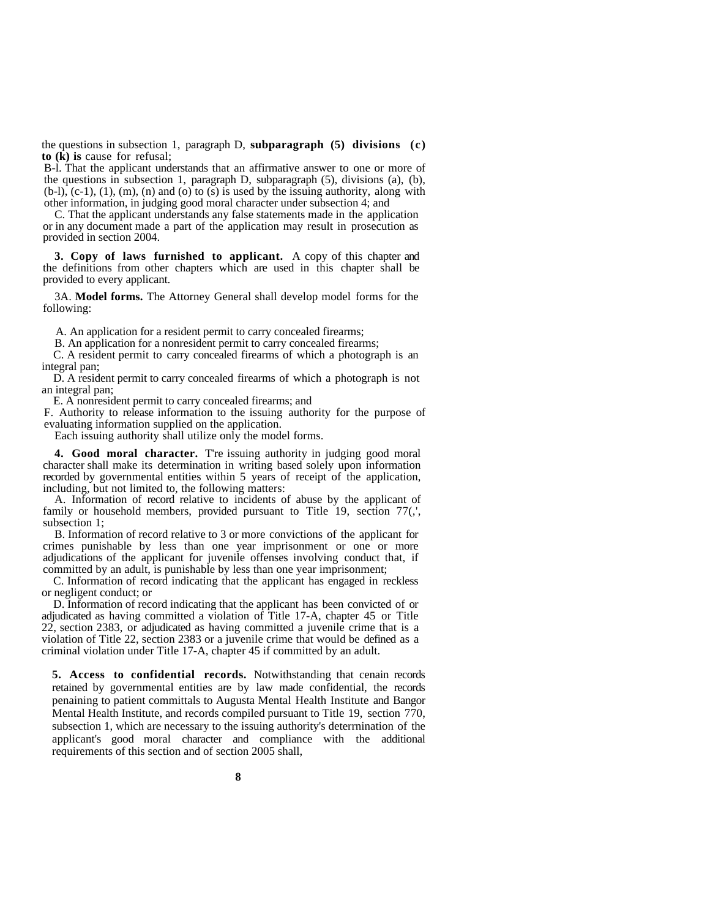the questions in subsection 1, paragraph D, **subparagraph (5) divisions (c) to (k) is** cause for refusal;

B-l. That the applicant understands that an affirmative answer to one or more of the questions in subsection 1, paragraph D, subparagraph (5), divisions (a), (b),  $(b-l)$ ,  $(c-1)$ ,  $(1)$ ,  $(m)$ ,  $(n)$  and  $(o)$  to  $(s)$  is used by the issuing authority, along with other information, in judging good moral character under subsection 4; and

C. That the applicant understands any false statements made in the application or in any document made a part of the application may result in prosecution as provided in section 2004.

**3. Copy of laws furnished to applicant.** A copy of this chapter and the definitions from other chapters which are used in this chapter shall be provided to every applicant.

3A. **Model forms.** The Attorney General shall develop model forms for the following:

A. An application for a resident permit to carry concealed firearms;

B. An application for a nonresident permit to carry concealed firearms;

C. A resident permit to carry concealed firearms of which a photograph is an integral pan;

D. A resident permit to carry concealed firearms of which a photograph is not an integral pan;

E. A nonresident permit to carry concealed firearms; and

F. Authority to release information to the issuing authority for the purpose of evaluating information supplied on the application.

Each issuing authority shall utilize only the model forms.

**4. Good moral character.** T're issuing authority in judging good moral character shall make its determination in writing based solely upon information recorded by governmental entities within 5 years of receipt of the application, including, but not limited to, the following matters:

A. Information of record relative to incidents of abuse by the applicant of family or household members, provided pursuant to Title 19, section  $77($ , subsection 1;

B. Information of record relative to 3 or more convictions of the applicant for crimes punishable by less than one year imprisonment or one or more adjudications of the applicant for juvenile offenses involving conduct that, if committed by an adult, is punishable by less than one year imprisonment;

C. Information of record indicating that the applicant has engaged in reckless or negligent conduct; or

D. Information of record indicating that the applicant has been convicted of or adjudicated as having committed a violation of Title 17-A, chapter 45 or Title 22, section 2383, or adjudicated as having committed a juvenile crime that is a violation of Title 22, section 2383 or a juvenile crime that would be defined as a criminal violation under Title 17-A, chapter 45 if committed by an adult.

**5. Access to confidential records.** Notwithstanding that cenain records retained by governmental entities are by law made confidential, the records penaining to patient committals to Augusta Mental Health Institute and Bangor Mental Health Institute, and records compiled pursuant to Title 19, section 770, subsection 1, which are necessary to the issuing authority's deterrnination of the applicant's good moral character and compliance with the additional requirements of this section and of section 2005 shall,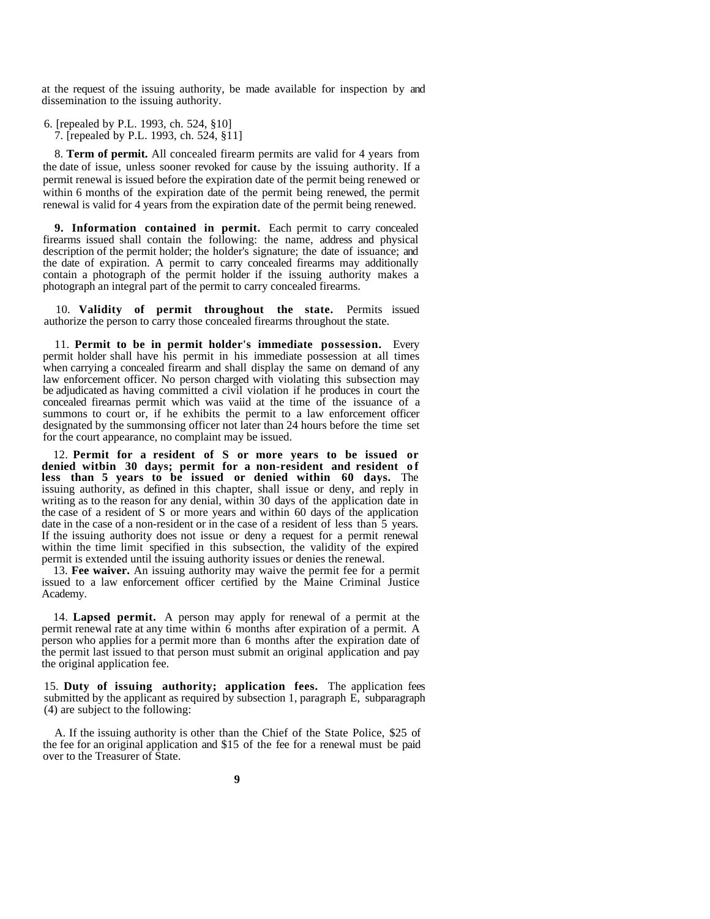at the request of the issuing authority, be made available for inspection by and dissemination to the issuing authority.

- 6. [repealed by P.L. 1993, ch. 524, §10]
	- 7. [repealed by P.L. 1993, ch. 524, §11]

8. **Term of permit.** All concealed firearm permits are valid for 4 years from the date of issue, unless sooner revoked for cause by the issuing authority. If a permit renewal is issued before the expiration date of the permit being renewed or within 6 months of the expiration date of the permit being renewed, the permit renewal is valid for 4 years from the expiration date of the permit being renewed.

**9. Information contained in permit.** Each permit to carry concealed firearms issued shall contain the following: the name, address and physical description of the permit holder; the holder's signature; the date of issuance; and the date of expiration. A permit to carry concealed firearms may additionally contain a photograph of the permit holder if the issuing authority makes a photograph an integral part of the permit to carry concealed firearms.

10. **Validity of permit throughout the state.** Permits issued authorize the person to carry those concealed firearms throughout the state.

11. **Permit to be in permit holder's immediate possession.** Every permit holder shall have his permit in his immediate possession at all times when carrying a concealed firearm and shall display the same on demand of any law enforcement officer. No person charged with violating this subsection may be adjudicated as having committed a civil violation if he produces in court the concealed firearnas permit which was vaiid at the time of the issuance of a summons to court or, if he exhibits the permit to a law enforcement officer designated by the summonsing officer not later than 24 hours before the time set for the court appearance, no complaint may be issued.

12. **Permit for a resident of S or more years to be issued or** denied witbin 30 days; permit for a non-resident and resident of **less than 5 years to be issued or denied within 60 days.** The issuing authority, as defined in this chapter, shall issue or deny, and reply in writing as to the reason for any denial, within 30 days of the application date in the case of a resident of S or more years and within 60 days of the application date in the case of a non-resident or in the case of a resident of less than 5 years. If the issuing authority does not issue or deny a request for a permit renewal within the time limit specified in this subsection, the validity of the expired permit is extended until the issuing authority issues or denies the renewal.

13. **Fee waiver.** An issuing authority may waive the permit fee for a permit issued to a law enforcement officer certified by the Maine Criminal Justice Academy.

14. **Lapsed permit.** A person may apply for renewal of a permit at the permit renewal rate at any time within 6 months after expiration of a permit. A person who applies for a permit more than 6 months after the expiration date of the permit last issued to that person must submit an original application and pay the original application fee.

15. **Duty of issuing authority; application fees.** The application fees submitted by the applicant as required by subsection 1, paragraph E, subparagraph (4) are subject to the following:

A. If the issuing authority is other than the Chief of the State Police, \$25 of the fee for an original application and \$15 of the fee for a renewal must be paid over to the Treasurer of State.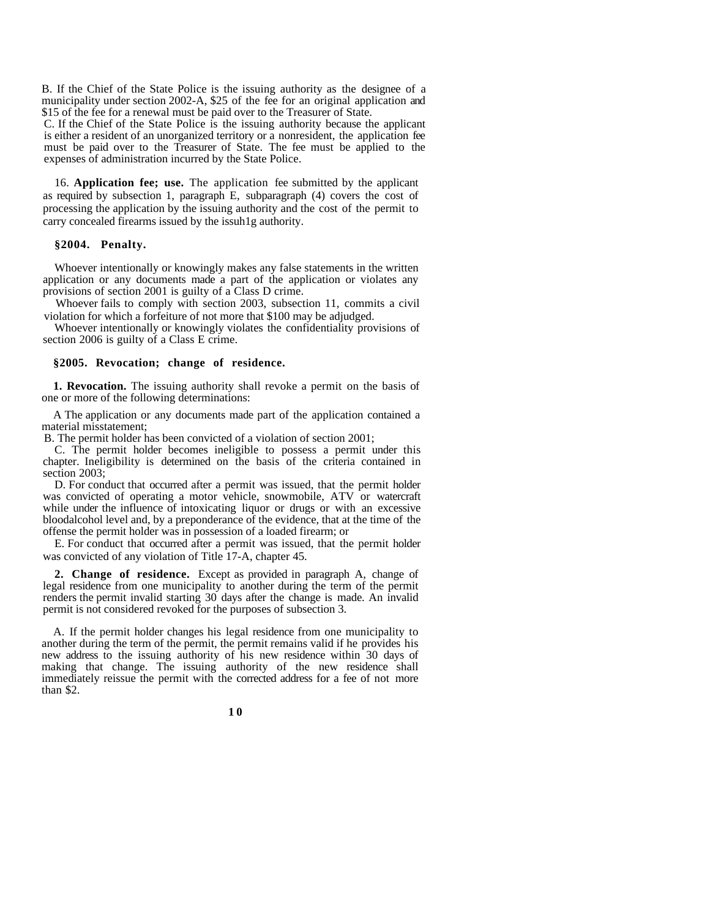B. If the Chief of the State Police is the issuing authority as the designee of a municipality under section 2002-A, \$25 of the fee for an original application and \$15 of the fee for a renewal must be paid over to the Treasurer of State.

C. If the Chief of the State Police is the issuing authority because the applicant is either a resident of an unorganized territory or a nonresident, the application fee must be paid over to the Treasurer of State. The fee must be applied to the expenses of administration incurred by the State Police.

16. **Application fee; use.** The application fee submitted by the applicant as required by subsection 1, paragraph E, subparagraph (4) covers the cost of processing the application by the issuing authority and the cost of the permit to carry concealed firearms issued by the issuh1g authority.

#### **§2004. Penalty.**

Whoever intentionally or knowingly makes any false statements in the written application or any documents made a part of the application or violates any provisions of section 2001 is guilty of a Class D crime.

Whoever fails to comply with section 2003, subsection 11, commits a civil violation for which a forfeiture of not more that \$100 may be adjudged.

Whoever intentionally or knowingly violates the confidentiality provisions of section 2006 is guilty of a Class E crime.

#### **§2005. Revocation; change of residence.**

**1. Revocation.** The issuing authority shall revoke a permit on the basis of one or more of the following determinations:

A The application or any documents made part of the application contained a material misstatement;

B. The permit holder has been convicted of a violation of section 2001;

C. The permit holder becomes ineligible to possess a permit under this chapter. Ineligibility is determined on the basis of the criteria contained in section 2003;

D. For conduct that occurred after a permit was issued, that the permit holder was convicted of operating a motor vehicle, snowmobile, ATV or watercraft while under the influence of intoxicating liquor or drugs or with an excessive bloodalcohol level and, by a preponderance of the evidence, that at the time of the offense the permit holder was in possession of a loaded firearm; or

E. For conduct that occurred after a permit was issued, that the permit holder was convicted of any violation of Title 17-A, chapter 45.

**2. Change of residence.** Except as provided in paragraph A, change of legal residence from one municipality to another during the term of the permit renders the permit invalid starting 30 days after the change is made. An invalid permit is not considered revoked for the purposes of subsection 3.

A. If the permit holder changes his legal residence from one municipality to another during the term of the permit, the permit remains valid if he provides his new address to the issuing authority of his new residence within 30 days of making that change. The issuing authority of the new residence shall immediately reissue the permit with the corrected address for a fee of not more than \$2.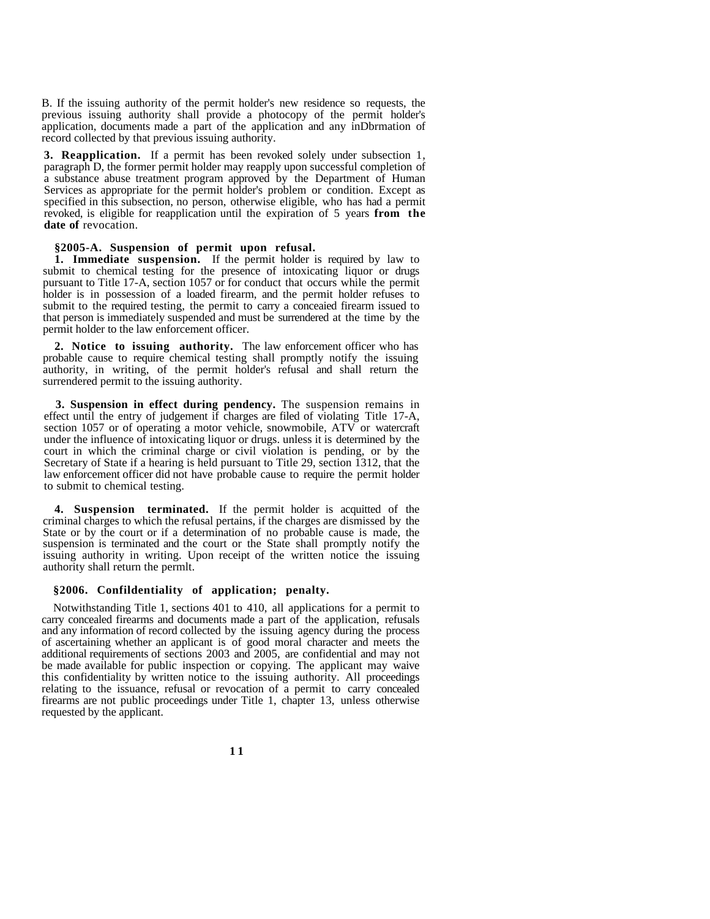B. If the issuing authority of the permit holder's new residence so requests, the previous issuing authority shall provide a photocopy of the permit holder's application, documents made a part of the application and any inDbrmation of record collected by that previous issuing authority.

**3. Reapplication.** If a permit has been revoked solely under subsection 1, paragraph D, the former permit holder may reapply upon successful completion of a substance abuse treatment program approved by the Department of Human Services as appropriate for the permit holder's problem or condition. Except as specified in this subsection, no person, otherwise eligible, who has had a permit revoked, is eligible for reapplication until the expiration of 5 years **from the date of** revocation.

#### **§2005-A. Suspension of permit upon refusal.**

**1. Immediate suspension.** If the permit holder is required by law to submit to chemical testing for the presence of intoxicating liquor or drugs pursuant to Title 17-A, section 1057 or for conduct that occurs while the permit holder is in possession of a loaded firearm, and the permit holder refuses to submit to the required testing, the permit to carry a conceaied firearm issued to that person is immediately suspended and must be surrendered at the time by the permit holder to the law enforcement officer.

**2. Notice to issuing authority.** The law enforcement officer who has probable cause to require chemical testing shall promptly notify the issuing authority, in writing, of the permit holder's refusal and shall return the surrendered permit to the issuing authority.

**3. Suspension in effect during pendency.** The suspension remains in effect until the entry of judgement if charges are filed of violating Title 17-A, section 1057 or of operating a motor vehicle, snowmobile, ATV or watercraft under the influence of intoxicating liquor or drugs. unless it is determined by the court in which the criminal charge or civil violation is pending, or by the Secretary of State if a hearing is held pursuant to Title 29, section 1312, that the law enforcement officer did not have probable cause to require the permit holder to submit to chemical testing.

**4. Suspension terminated.** If the permit holder is acquitted of the criminal charges to which the refusal pertains, if the charges are dismissed by the State or by the court or if a determination of no probable cause is made, the suspension is terminated and the court or the State shall promptly notify the issuing authority in writing. Upon receipt of the written notice the issuing authority shall return the permlt.

#### **§2006. Confildentiality of application; penalty.**

Notwithstanding Title 1, sections 401 to 410, all applications for a permit to carry concealed firearms and documents made a part of the application, refusals and any information of record collected by the issuing agency during the process of ascertaining whether an applicant is of good moral character and meets the additional requirements of sections 2003 and 2005, are confidential and may not be made available for public inspection or copying. The applicant may waive this confidentiality by written notice to the issuing authority. All proceedings relating to the issuance, refusal or revocation of a permit to carry concealed firearms are not public proceedings under Title 1, chapter 13, unless otherwise requested by the applicant.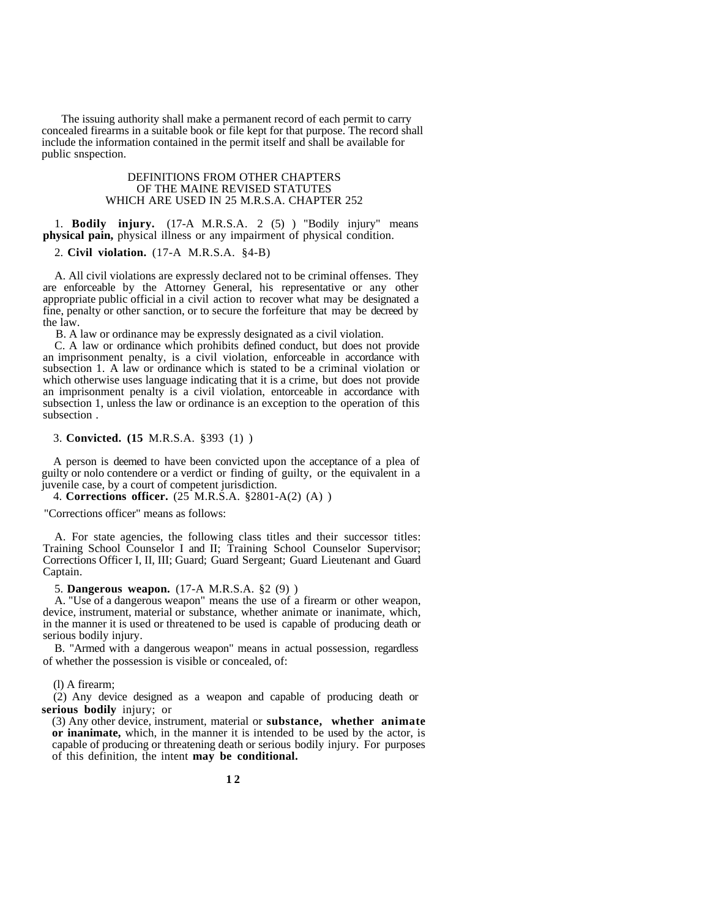The issuing authority shall make a permanent record of each permit to carry concealed firearms in a suitable book or file kept for that purpose. The record shall include the information contained in the permit itself and shall be available for public snspection.

#### DEFINITIONS FROM OTHER CHAPTERS OF THE MAINE REVISED STATUTES WHICH ARE USED IN 25 M.R.S.A. CHAPTER 252

1. **Bodily injury.** (17-A M.R.S.A. 2 (5) ) "Bodily injury" means **physical pain,** physical illness or any impairment of physical condition.

2. **Civil violation.** (17-A M.R.S.A. §4-B)

A. All civil violations are expressly declared not to be criminal offenses. They are enforceable by the Attorney General, his representative or any other appropriate public official in a civil action to recover what may be designated a fine, penalty or other sanction, or to secure the forfeiture that may be decreed by the law.

B. A law or ordinance may be expressly designated as a civil violation.

C. A law or ordinance which prohibits defined conduct, but does not provide an imprisonment penalty, is a civil violation, enforceable in accordance with subsection 1. A law or ordinance which is stated to be a criminal violation or which otherwise uses language indicating that it is a crime, but does not provide an imprisonment penalty is a civil violation, entorceable in accordance with subsection 1, unless the law or ordinance is an exception to the operation of this subsection .

3. **Convicted. (15** M.R.S.A. §393 (1) )

A person is deemed to have been convicted upon the acceptance of a plea of guilty or nolo contendere or a verdict or finding of guilty, or the equivalent in a juvenile case, by a court of competent jurisdiction.

4. **Corrections officer.** (25 M.R.S.A. §2801-A(2) (A) )

"Corrections officer" means as follows:

A. For state agencies, the following class titles and their successor titles: Training School Counselor I and II; Training School Counselor Supervisor; Corrections Officer I, II, III; Guard; Guard Sergeant; Guard Lieutenant and Guard Captain.

5. **Dangerous weapon.** (17-A M.R.S.A. §2 (9) )

A. "Use of a dangerous weapon" means the use of a firearm or other weapon, device, instrument, material or substance, whether animate or inanimate, which, in the manner it is used or threatened to be used is capable of producing death or serious bodily injury.

B. "Armed with a dangerous weapon" means in actual possession, regardless of whether the possession is visible or concealed, of:

(l) A firearm;

(2) Any device designed as a weapon and capable of producing death or **serious bodily** injury; or

(3) Any other device, instrument, material or **substance, whether animate or inanimate,** which, in the manner it is intended to be used by the actor, is capable of producing or threatening death or serious bodily injury. For purposes of this definition, the intent **may be conditional.**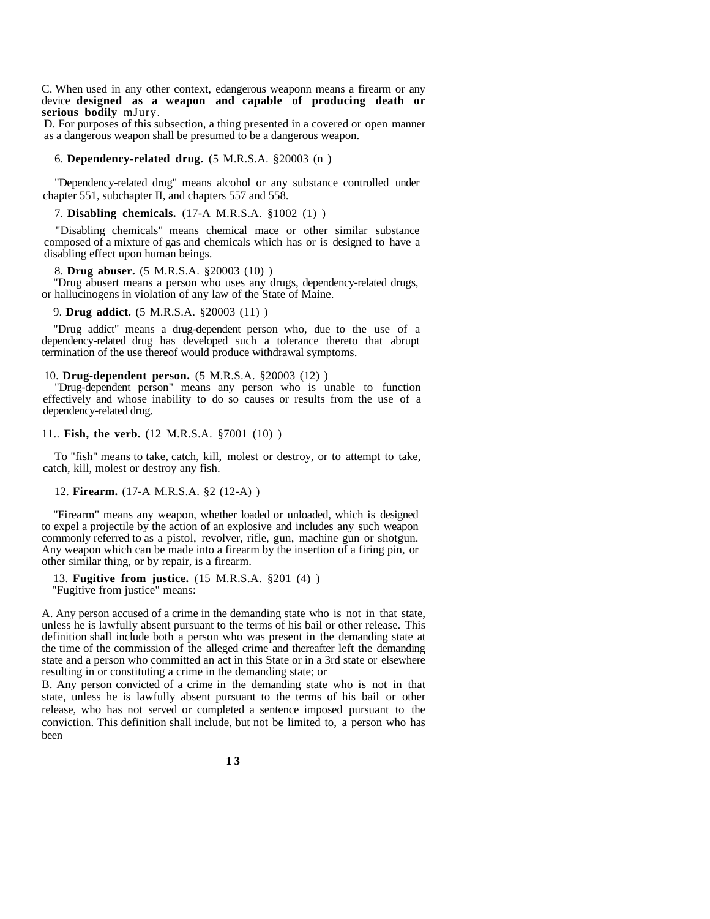C. When used in any other context, edangerous weaponn means a firearm or any device **designed as a weapon and capable of producing death or serious bodily** mJury.

D. For purposes of this subsection, a thing presented in a covered or open manner as a dangerous weapon shall be presumed to be a dangerous weapon.

#### 6. **Dependency-related drug.** (5 M.R.S.A. §20003 (n )

"Dependency-related drug" means alcohol or any substance controlled under chapter 551, subchapter II, and chapters 557 and 558.

#### 7. **Disabling chemicals.** (17-A M.R.S.A. §1002 (1) )

"Disabling chemicals" means chemical mace or other similar substance composed of a mixture of gas and chemicals which has or is designed to have a disabling effect upon human beings.

#### 8. **Drug abuser.** (5 M.R.S.A. §20003 (10) )

"Drug abusert means a person who uses any drugs, dependency-related drugs, or hallucinogens in violation of any law of the State of Maine.

#### 9. **Drug addict.** (5 M.R.S.A. §20003 (11) )

"Drug addict" means a drug-dependent person who, due to the use of a dependency-related drug has developed such a tolerance thereto that abrupt termination of the use thereof would produce withdrawal symptoms.

#### 10. **Drug-dependent person.** (5 M.R.S.A. §20003 (12) )

"Drug-dependent person" means any person who is unable to function effectively and whose inability to do so causes or results from the use of a dependency-related drug.

#### 11.. **Fish, the verb.** (12 M.R.S.A. §7001 (10) )

To "fish" means to take, catch, kill, molest or destroy, or to attempt to take, catch, kill, molest or destroy any fish.

#### 12. **Firearm.** (17-A M.R.S.A. §2 (12-A) )

"Firearm" means any weapon, whether loaded or unloaded, which is designed to expel a projectile by the action of an explosive and includes any such weapon commonly referred to as a pistol, revolver, rifle, gun, machine gun or shotgun. Any weapon which can be made into a firearm by the insertion of a firing pin, or other similar thing, or by repair, is a firearm.

13. **Fugitive from justice.** (15 M.R.S.A. §201 (4) )

"Fugitive from justice" means:

A. Any person accused of a crime in the demanding state who is not in that state, unless he is lawfully absent pursuant to the terms of his bail or other release. This definition shall include both a person who was present in the demanding state at the time of the commission of the alleged crime and thereafter left the demanding state and a person who committed an act in this State or in a 3rd state or elsewhere resulting in or constituting a crime in the demanding state; or

B. Any person convicted of a crime in the demanding state who is not in that state, unless he is lawfully absent pursuant to the terms of his bail or other release, who has not served or completed a sentence imposed pursuant to the conviction. This definition shall include, but not be limited to, a person who has been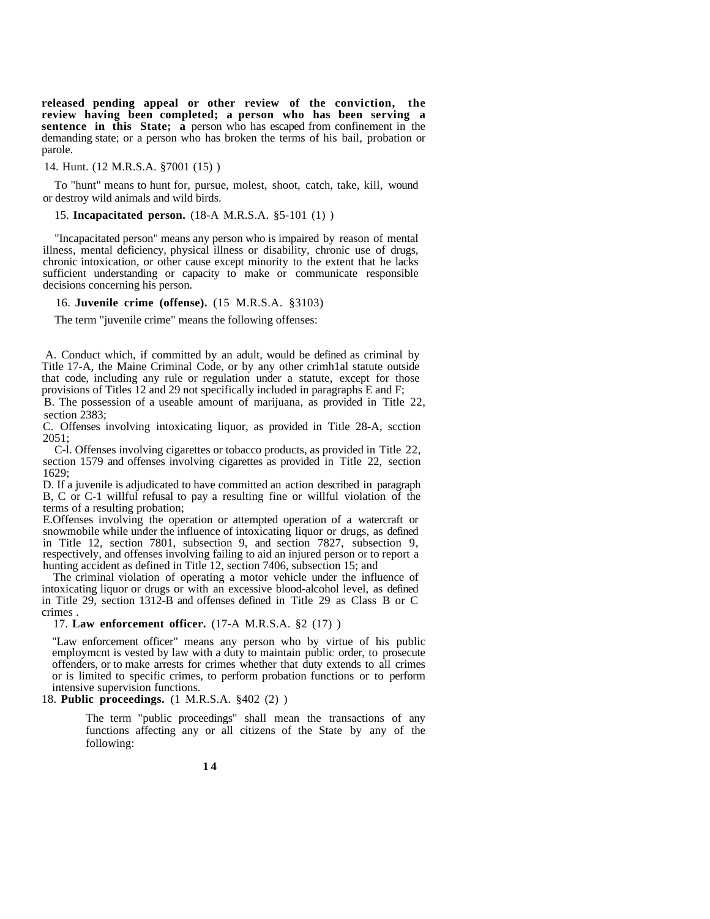**released pending appeal or other review of the conviction, the review having been completed; a person who has been serving a sentence in this State; a** person who has escaped from confinement in the demanding state; or a person who has broken the terms of his bail, probation or parole.

14. Hunt. (12 M.R.S.A. §7001 (15) )

To "hunt" means to hunt for, pursue, molest, shoot, catch, take, kill, wound or destroy wild animals and wild birds.

15. **Incapacitated person.** (18-A M.R.S.A. §5-101 (1) )

"Incapacitated person" means any person who is impaired by reason of mental illness, mental deficiency, physical illness or disability, chronic use of drugs, chronic intoxication, or other cause except minority to the extent that he lacks sufficient understanding or capacity to make or communicate responsible decisions concerning his person.

16. **Juvenile crime (offense).** (15 M.R.S.A. §3103)

The term "juvenile crime" means the following offenses:

 A. Conduct which, if committed by an adult, would be defined as criminal by Title 17-A, the Maine Criminal Code, or by any other crimh1al statute outside that code, including any rule or regulation under a statute, except for those provisions of Titles 12 and 29 not specifically included in paragraphs E and F;

B. The possession of a useable amount of marijuana, as provided in Title 22, section 2383;

C. Offenses involving intoxicating liquor, as provided in Title 28-A, scction 2051;

C-l. Offenses involving cigarettes or tobacco products, as provided in Title 22, section 1579 and offenses involving cigarettes as provided in Title 22, section 1629;

D. If a juvenile is adjudicated to have committed an action described in paragraph B, C or C-1 willful refusal to pay a resulting fine or willful violation of the terms of a resulting probation;

E.Offenses involving the operation or attempted operation of a watercraft or snowmobile while under the influence of intoxicating liquor or drugs, as defined in Title 12, section 7801, subsection 9, and section 7827, subsection 9, respectively, and offenses involving failing to aid an injured person or to report a hunting accident as defined in Title 12, section 7406, subsection 15; and

The criminal violation of operating a motor vehicle under the influence of intoxicating liquor or drugs or with an excessive blood-alcohol level, as defined in Title 29, section 1312-B and offenses defined in Title 29 as Class B or C crimes .

17. **Law enforcement officer.** (17-A M.R.S.A. §2 (17) )

"Law enforcement officer" means any person who by virtue of his public employmcnt is vested by law with a duty to maintain public order, to prosecute offenders, or to make arrests for crimes whether that duty extends to all crimes or is limited to specific crimes, to perform probation functions or to perform intensive supervision functions.

18. **Public proceedings.** (1 M.R.S.A. §402 (2) )

The term "public proceedings" shall mean the transactions of any functions affecting any or all citizens of the State by any of the following: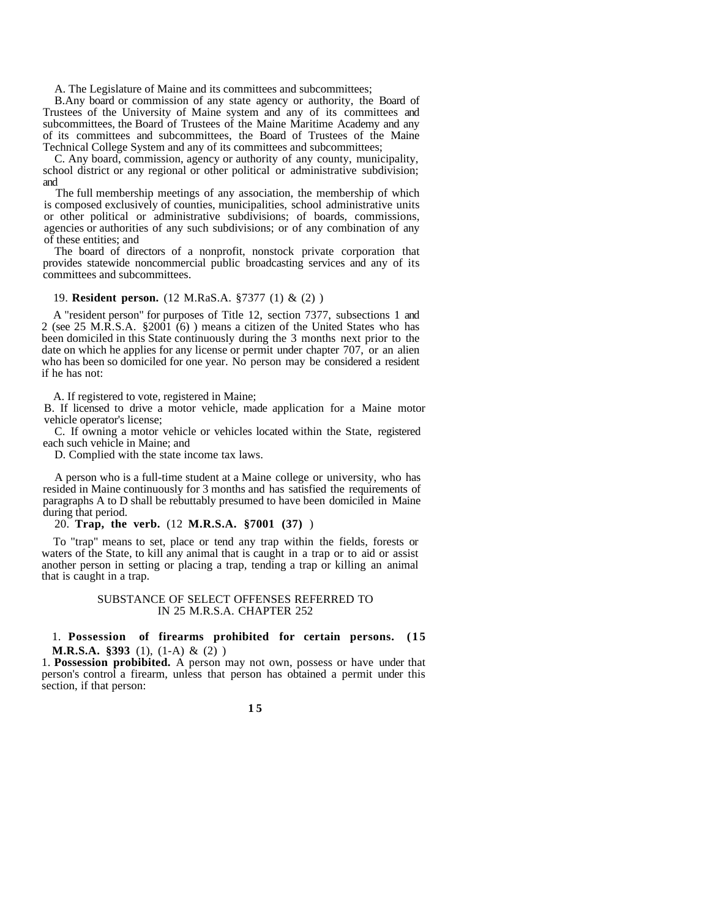A. The Legislature of Maine and its committees and subcommittees;

B.Any board or commission of any state agency or authority, the Board of Trustees of the University of Maine system and any of its committees and subcommittees, the Board of Trustees of the Maine Maritime Academy and any of its committees and subcommittees, the Board of Trustees of the Maine Technical College System and any of its committees and subcommittees;

C. Any board, commission, agency or authority of any county, municipality, school district or any regional or other political or administrative subdivision; and

The full membership meetings of any association, the membership of which is composed exclusively of counties, municipalities, school administrative units or other political or administrative subdivisions; of boards, commissions, agencies or authorities of any such subdivisions; or of any combination of any of these entities; and

The board of directors of a nonprofit, nonstock private corporation that provides statewide noncommercial public broadcasting services and any of its committees and subcommittees.

#### 19. **Resident person.** (12 M.RaS.A. §7377 (1) & (2) )

A "resident person" for purposes of Title 12, section 7377, subsections 1 and 2 (see 25 M.R.S.A. §2001 (6) ) means a citizen of the United States who has been domiciled in this State continuously during the 3 months next prior to the date on which he applies for any license or permit under chapter 707, or an alien who has been so domiciled for one year. No person may be considered a resident if he has not:

A. If registered to vote, registered in Maine;

B. If licensed to drive a motor vehicle, made application for a Maine motor vehicle operator's license;

C. If owning a motor vehicle or vehicles located within the State, registered each such vehicle in Maine; and

D. Complied with the state income tax laws.

A person who is a full-time student at a Maine college or university, who has resided in Maine continuously for 3 months and has satisfied the requirements of paragraphs A to D shall be rebuttably presumed to have been domiciled in Maine during that period.

#### 20. **Trap, the verb.** (12 **M.R.S.A. §7001 (37)** )

To "trap" means to set, place or tend any trap within the fields, forests or waters of the State, to kill any animal that is caught in a trap or to aid or assist another person in setting or placing a trap, tending a trap or killing an animal that is caught in a trap.

#### SUBSTANCE OF SELECT OFFENSES REFERRED TO IN 25 M.R.S.A. CHAPTER 252

#### 1. **Possession of firearms prohibited for certain persons. (15 M.R.S.A. §393** (1), (1-A) & (2) )

1. **Possession probibited.** A person may not own, possess or have under that person's control a firearm, unless that person has obtained a permit under this section, if that person: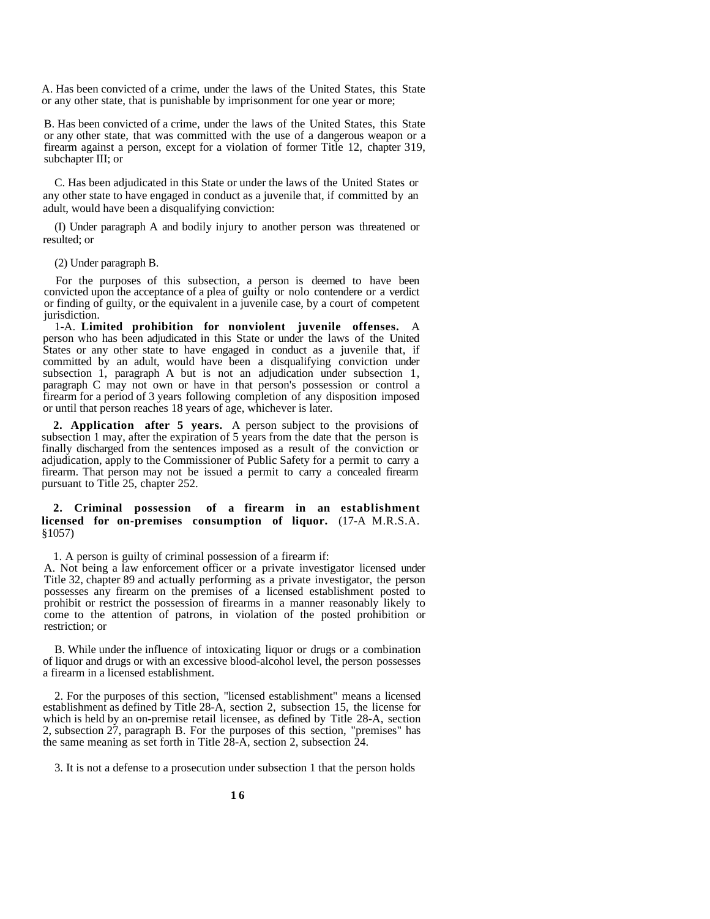A. Has been convicted of a crime, under the laws of the United States, this State or any other state, that is punishable by imprisonment for one year or more;

B. Has been convicted of a crime, under the laws of the United States, this State or any other state, that was committed with the use of a dangerous weapon or a firearm against a person, except for a violation of former Title 12, chapter 319, subchapter III; or

C. Has been adjudicated in this State or under the laws of the United States or any other state to have engaged in conduct as a juvenile that, if committed by an adult, would have been a disqualifying conviction:

(I) Under paragraph A and bodily injury to another person was threatened or resulted; or

(2) Under paragraph B.

For the purposes of this subsection, a person is deemed to have been convicted upon the acceptance of a plea of guilty or nolo contendere or a verdict or finding of guilty, or the equivalent in a juvenile case, by a court of competent jurisdiction.

1-A. **Limited prohibition for nonviolent juvenile offenses.** A person who has been adjudicated in this State or under the laws of the United States or any other state to have engaged in conduct as a juvenile that, if committed by an adult, would have been a disqualifying conviction under subsection 1, paragraph A but is not an adjudication under subsection 1, paragraph C may not own or have in that person's possession or control a firearm for a period of 3 years following completion of any disposition imposed or until that person reaches 18 years of age, whichever is later.

**2. Application after 5 years.** A person subject to the provisions of subsection 1 may, after the expiration of 5 years from the date that the person is finally discharged from the sentences imposed as a result of the conviction or adjudication, apply to the Commissioner of Public Safety for a permit to carry a firearm. That person may not be issued a permit to carry a concealed firearm pursuant to Title 25, chapter 252.

#### **2. Criminal possession of a firearm in an establishment licensed for on-premises consumption of liquor.** (17-A M.R.S.A. §1057)

1. A person is guilty of criminal possession of a firearm if:

A. Not being a law enforcement officer or a private investigator licensed under Title 32, chapter 89 and actually performing as a private investigator, the person possesses any firearm on the premises of a licensed establishment posted to prohibit or restrict the possession of firearms in a manner reasonably likely to come to the attention of patrons, in violation of the posted prohibition or restriction; or

B. While under the influence of intoxicating liquor or drugs or a combination of liquor and drugs or with an excessive blood-alcohol level, the person possesses a firearm in a licensed establishment.

2. For the purposes of this section, "licensed establishment" means a licensed establishment as defined by Title 28-A, section 2, subsection 15, the license for which is held by an on-premise retail licensee, as defined by Title 28-A, section 2, subsection 27, paragraph B. For the purposes of this section, "premises" has the same meaning as set forth in Title 28-A, section 2, subsection 24.

3. It is not a defense to a prosecution under subsection 1 that the person holds